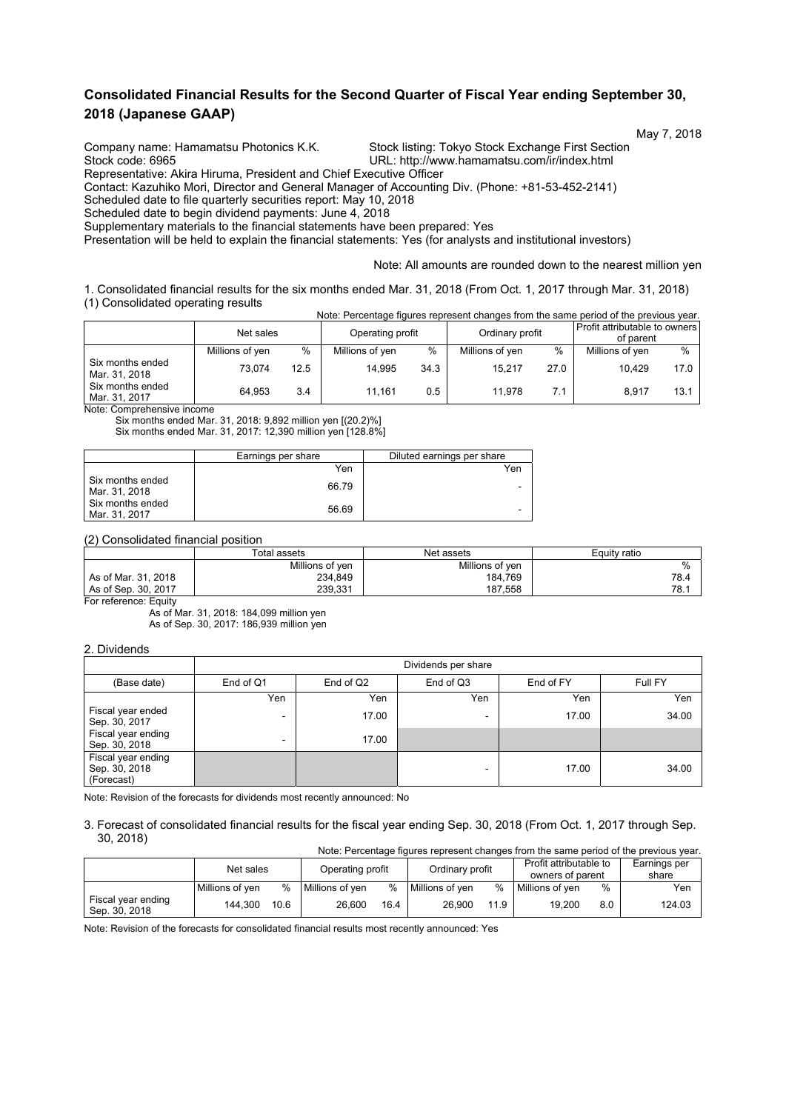## **Consolidated Financial Results for the Second Quarter of Fiscal Year ending September 30, 2018 (Japanese GAAP)**

 May 7, 2018 Company name: Hamamatsu Photonics K.K. Stock listing: Tokyo Stock Exchange First Section

Stock code: 6965 URL: http://www.hamamatsu.com/ir/index.html

Representative: Akira Hiruma, President and Chief Executive Officer

Contact: Kazuhiko Mori, Director and General Manager of Accounting Div. (Phone: +81-53-452-2141)

Scheduled date to file quarterly securities report: May 10, 2018

Scheduled date to begin dividend payments: June 4, 2018

Supplementary materials to the financial statements have been prepared: Yes

Presentation will be held to explain the financial statements: Yes (for analysts and institutional investors)

Note: All amounts are rounded down to the nearest million yen

1. Consolidated financial results for the six months ended Mar. 31, 2018 (From Oct. 1, 2017 through Mar. 31, 2018) (1) Consolidated operating results Note: Percentage figures represent changes from the same period of the previous year.

|                                   | Net sales       |      | Operating profit |      | Ordinary profit |      | Profit attributable to owners<br>of parent |      |
|-----------------------------------|-----------------|------|------------------|------|-----------------|------|--------------------------------------------|------|
|                                   | Millions of yen | $\%$ | Millions of yen  | $\%$ | Millions of yen | $\%$ | Millions of yen                            | $\%$ |
| Six months ended<br>Mar. 31, 2018 | 73.074          | 12.5 | 14.995           | 34.3 | 15.217          | 27.0 | 10.429                                     | 17.0 |
| Six months ended<br>Mar. 31, 2017 | 64.953          | 3.4  | 11.161           | 0.5  | 11.978          | 7.1  | 8.917                                      | 13.1 |

Note: Comprehensive income

Six months ended Mar. 31, 2018: 9,892 million yen [(20.2)%] Six months ended Mar. 31, 2017: 12,390 million yen [128.8%]

|                                   | Earnings per share | Diluted earnings per share |
|-----------------------------------|--------------------|----------------------------|
|                                   | Yen                | Yen                        |
| Six months ended<br>Mar. 31, 2018 | 66.79              | -                          |
| Six months ended<br>Mar. 31, 2017 | 56.69              | -                          |

#### (2) Consolidated financial position

|                     | Total assets    | Net assets      | Equity ratio |
|---------------------|-----------------|-----------------|--------------|
|                     | Millions of yen | Millions of ven | %            |
| As of Mar. 31, 2018 | 234.849         | 184.769         | 78.4         |
| As of Sep. 30, 2017 | 239.331         | 187.558         | 78.1         |

For reference: Equity

As of Mar. 31, 2018: 184,099 million yen As of Sep. 30, 2017: 186,939 million yen

### 2. Dividends

|                                                   | Dividends per share      |           |           |           |         |  |  |  |
|---------------------------------------------------|--------------------------|-----------|-----------|-----------|---------|--|--|--|
| (Base date)                                       | End of Q1                | End of Q2 | End of Q3 | End of FY | Full FY |  |  |  |
|                                                   | Yen                      | Yen       | Yen       | Yen       | Yen     |  |  |  |
| Fiscal year ended<br>Sep. 30, 2017                | $\overline{\phantom{0}}$ | 17.00     | -         | 17.00     | 34.00   |  |  |  |
| Fiscal year ending<br>Sep. 30, 2018               | $\overline{a}$           | 17.00     |           |           |         |  |  |  |
| Fiscal year ending<br>Sep. 30, 2018<br>(Forecast) |                          |           |           | 17.00     | 34.00   |  |  |  |

Note: Revision of the forecasts for dividends most recently announced: No

#### 3. Forecast of consolidated financial results for the fiscal year ending Sep. 30, 2018 (From Oct. 1, 2017 through Sep. 30, 2018)

| Note: Percentage figures represent changes from the same period of the previous year. |                 |      |                  |      |                 |      |                                            |     |                       |
|---------------------------------------------------------------------------------------|-----------------|------|------------------|------|-----------------|------|--------------------------------------------|-----|-----------------------|
|                                                                                       | Net sales       |      | Operating profit |      | Ordinary profit |      | Profit attributable to<br>owners of parent |     | Earnings per<br>share |
|                                                                                       | Millions of ven | $\%$ | Millions of yen  | $\%$ | Millions of ven | %    | Millions of ven                            | %   | Yen                   |
| Fiscal year ending<br>Sep. 30, 2018                                                   | 144.300         | 10.6 | 26.600           | 16.4 | 26.900          | 11.9 | 19.200                                     | 8.0 | 124.03                |

Note: Revision of the forecasts for consolidated financial results most recently announced: Yes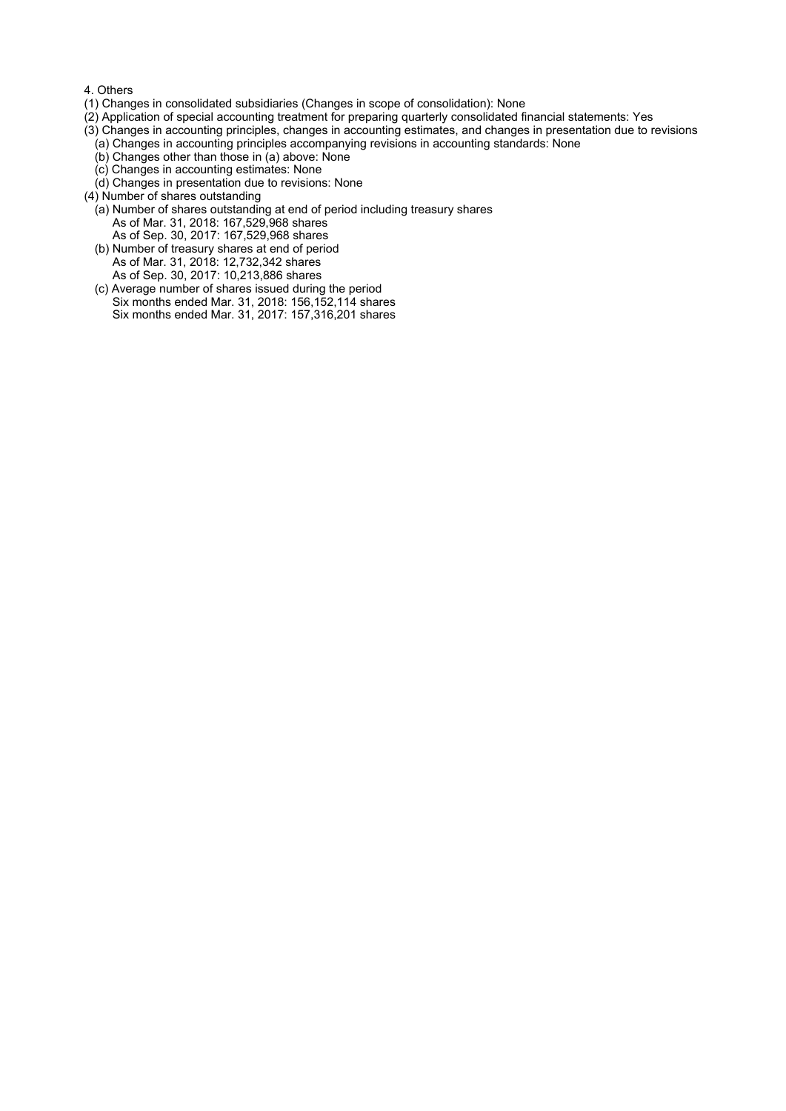#### 4. Others

- (1) Changes in consolidated subsidiaries (Changes in scope of consolidation): None
- (2) Application of special accounting treatment for preparing quarterly consolidated financial statements: Yes
- (3) Changes in accounting principles, changes in accounting estimates, and changes in presentation due to revisions
	- (a) Changes in accounting principles accompanying revisions in accounting standards: None
	- (b) Changes other than those in (a) above: None
	- (c) Changes in accounting estimates: None
	- (d) Changes in presentation due to revisions: None
- (4) Number of shares outstanding
	- (a) Number of shares outstanding at end of period including treasury shares As of Mar. 31, 2018: 167,529,968 shares As of Sep. 30, 2017: 167,529,968 shares
	- (b) Number of treasury shares at end of period As of Mar. 31, 2018: 12,732,342 shares As of Sep. 30, 2017: 10,213,886 shares
	- (c) Average number of shares issued during the period Six months ended Mar. 31, 2018: 156,152,114 shares Six months ended Mar. 31, 2017: 157,316,201 shares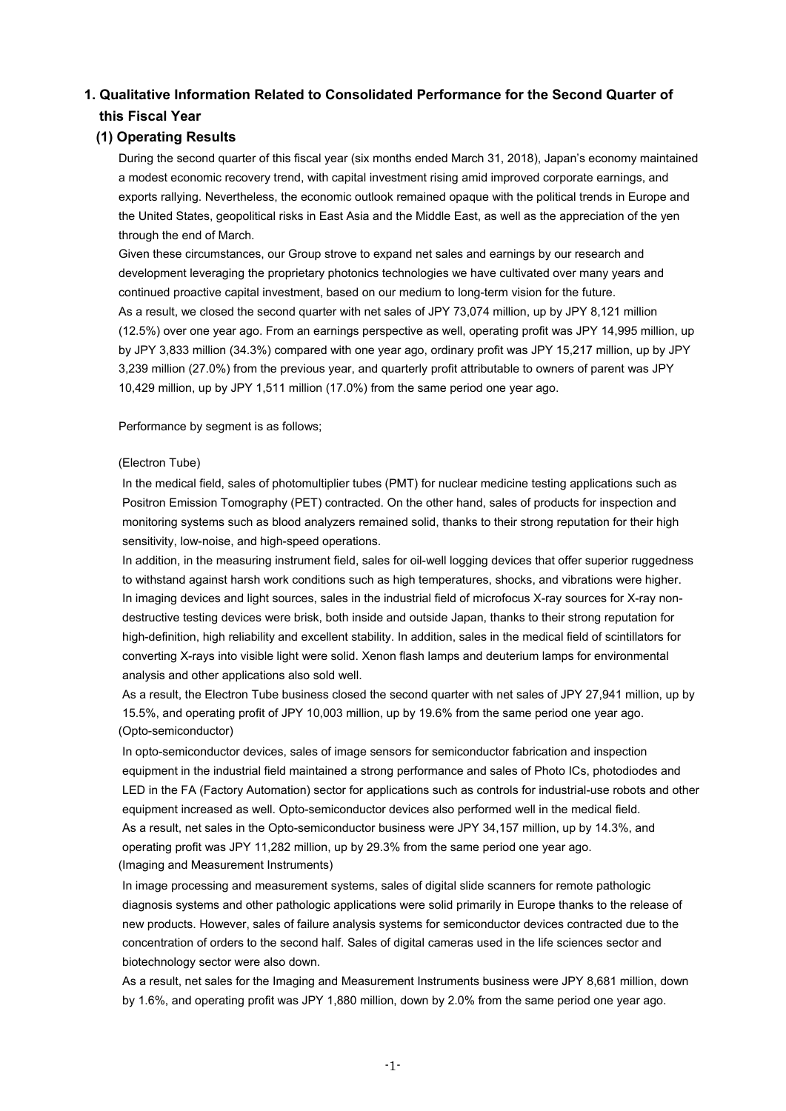# **1. Qualitative Information Related to Consolidated Performance for the Second Quarter of this Fiscal Year**

## **(1) Operating Results**

During the second quarter of this fiscal year (six months ended March 31, 2018), Japan's economy maintained a modest economic recovery trend, with capital investment rising amid improved corporate earnings, and exports rallying. Nevertheless, the economic outlook remained opaque with the political trends in Europe and the United States, geopolitical risks in East Asia and the Middle East, as well as the appreciation of the yen through the end of March.

Given these circumstances, our Group strove to expand net sales and earnings by our research and development leveraging the proprietary photonics technologies we have cultivated over many years and continued proactive capital investment, based on our medium to long-term vision for the future. As a result, we closed the second quarter with net sales of JPY 73,074 million, up by JPY 8,121 million (12.5%) over one year ago. From an earnings perspective as well, operating profit was JPY 14,995 million, up by JPY 3,833 million (34.3%) compared with one year ago, ordinary profit was JPY 15,217 million, up by JPY 3,239 million (27.0%) from the previous year, and quarterly profit attributable to owners of parent was JPY 10,429 million, up by JPY 1,511 million (17.0%) from the same period one year ago.

Performance by segment is as follows;

#### (Electron Tube)

In the medical field, sales of photomultiplier tubes (PMT) for nuclear medicine testing applications such as Positron Emission Tomography (PET) contracted. On the other hand, sales of products for inspection and monitoring systems such as blood analyzers remained solid, thanks to their strong reputation for their high sensitivity, low-noise, and high-speed operations.

In addition, in the measuring instrument field, sales for oil-well logging devices that offer superior ruggedness to withstand against harsh work conditions such as high temperatures, shocks, and vibrations were higher. In imaging devices and light sources, sales in the industrial field of microfocus X-ray sources for X-ray nondestructive testing devices were brisk, both inside and outside Japan, thanks to their strong reputation for high-definition, high reliability and excellent stability. In addition, sales in the medical field of scintillators for converting X-rays into visible light were solid. Xenon flash lamps and deuterium lamps for environmental analysis and other applications also sold well.

As a result, the Electron Tube business closed the second quarter with net sales of JPY 27,941 million, up by 15.5%, and operating profit of JPY 10,003 million, up by 19.6% from the same period one year ago. (Opto-semiconductor)

In opto-semiconductor devices, sales of image sensors for semiconductor fabrication and inspection equipment in the industrial field maintained a strong performance and sales of Photo ICs, photodiodes and LED in the FA (Factory Automation) sector for applications such as controls for industrial-use robots and other equipment increased as well. Opto-semiconductor devices also performed well in the medical field. As a result, net sales in the Opto-semiconductor business were JPY 34,157 million, up by 14.3%, and operating profit was JPY 11,282 million, up by 29.3% from the same period one year ago. (Imaging and Measurement Instruments)

In image processing and measurement systems, sales of digital slide scanners for remote pathologic diagnosis systems and other pathologic applications were solid primarily in Europe thanks to the release of new products. However, sales of failure analysis systems for semiconductor devices contracted due to the concentration of orders to the second half. Sales of digital cameras used in the life sciences sector and biotechnology sector were also down.

As a result, net sales for the Imaging and Measurement Instruments business were JPY 8,681 million, down by 1.6%, and operating profit was JPY 1,880 million, down by 2.0% from the same period one year ago.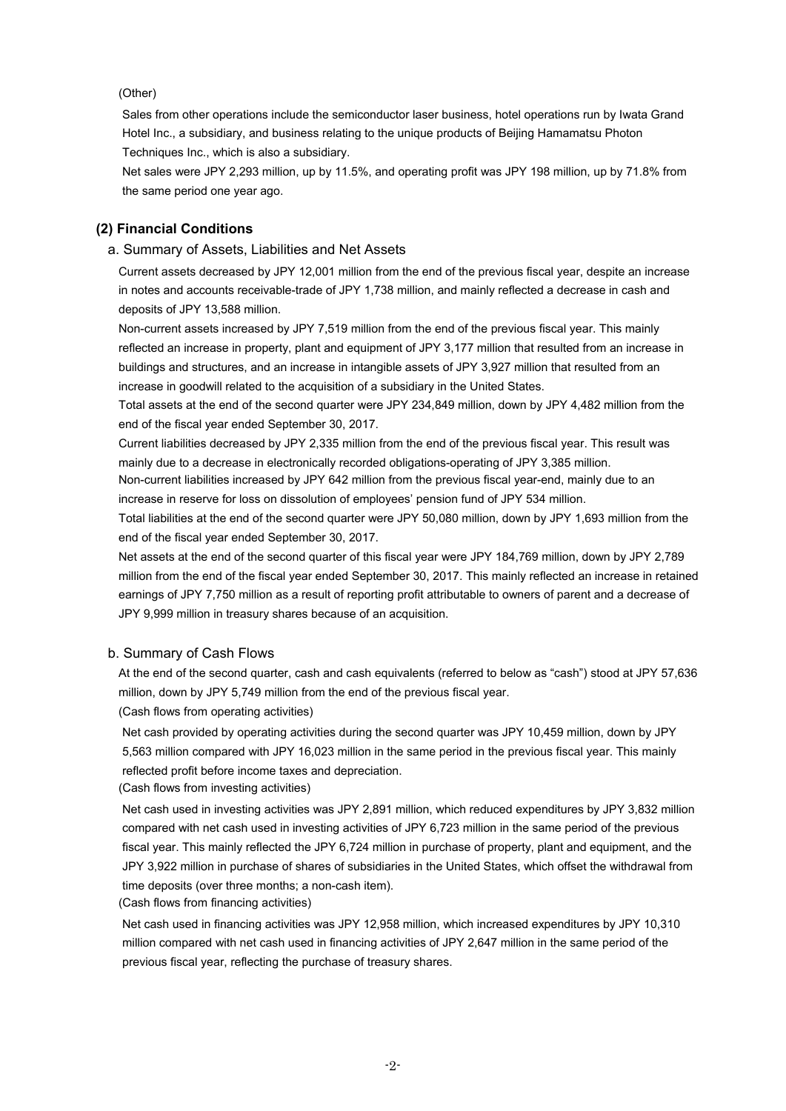### (Other)

Sales from other operations include the semiconductor laser business, hotel operations run by Iwata Grand Hotel Inc., a subsidiary, and business relating to the unique products of Beijing Hamamatsu Photon Techniques Inc., which is also a subsidiary.

Net sales were JPY 2,293 million, up by 11.5%, and operating profit was JPY 198 million, up by 71.8% from the same period one year ago.

### **(2) Financial Conditions**

#### a. Summary of Assets, Liabilities and Net Assets

Current assets decreased by JPY 12,001 million from the end of the previous fiscal year, despite an increase in notes and accounts receivable-trade of JPY 1,738 million, and mainly reflected a decrease in cash and deposits of JPY 13,588 million.

Non-current assets increased by JPY 7,519 million from the end of the previous fiscal year. This mainly reflected an increase in property, plant and equipment of JPY 3,177 million that resulted from an increase in buildings and structures, and an increase in intangible assets of JPY 3,927 million that resulted from an increase in goodwill related to the acquisition of a subsidiary in the United States.

Total assets at the end of the second quarter were JPY 234,849 million, down by JPY 4,482 million from the end of the fiscal year ended September 30, 2017.

Current liabilities decreased by JPY 2,335 million from the end of the previous fiscal year. This result was mainly due to a decrease in electronically recorded obligations-operating of JPY 3,385 million.

Non-current liabilities increased by JPY 642 million from the previous fiscal year-end, mainly due to an increase in reserve for loss on dissolution of employees' pension fund of JPY 534 million.

Total liabilities at the end of the second quarter were JPY 50,080 million, down by JPY 1,693 million from the end of the fiscal year ended September 30, 2017.

Net assets at the end of the second quarter of this fiscal year were JPY 184,769 million, down by JPY 2,789 million from the end of the fiscal year ended September 30, 2017. This mainly reflected an increase in retained earnings of JPY 7,750 million as a result of reporting profit attributable to owners of parent and a decrease of JPY 9,999 million in treasury shares because of an acquisition.

#### b. Summary of Cash Flows

At the end of the second quarter, cash and cash equivalents (referred to below as "cash") stood at JPY 57,636 million, down by JPY 5,749 million from the end of the previous fiscal year.

(Cash flows from operating activities)

Net cash provided by operating activities during the second quarter was JPY 10,459 million, down by JPY 5,563 million compared with JPY 16,023 million in the same period in the previous fiscal year. This mainly reflected profit before income taxes and depreciation.

(Cash flows from investing activities)

Net cash used in investing activities was JPY 2,891 million, which reduced expenditures by JPY 3,832 million compared with net cash used in investing activities of JPY 6,723 million in the same period of the previous fiscal year. This mainly reflected the JPY 6,724 million in purchase of property, plant and equipment, and the JPY 3,922 million in purchase of shares of subsidiaries in the United States, which offset the withdrawal from time deposits (over three months; a non-cash item).

(Cash flows from financing activities)

Net cash used in financing activities was JPY 12,958 million, which increased expenditures by JPY 10,310 million compared with net cash used in financing activities of JPY 2,647 million in the same period of the previous fiscal year, reflecting the purchase of treasury shares.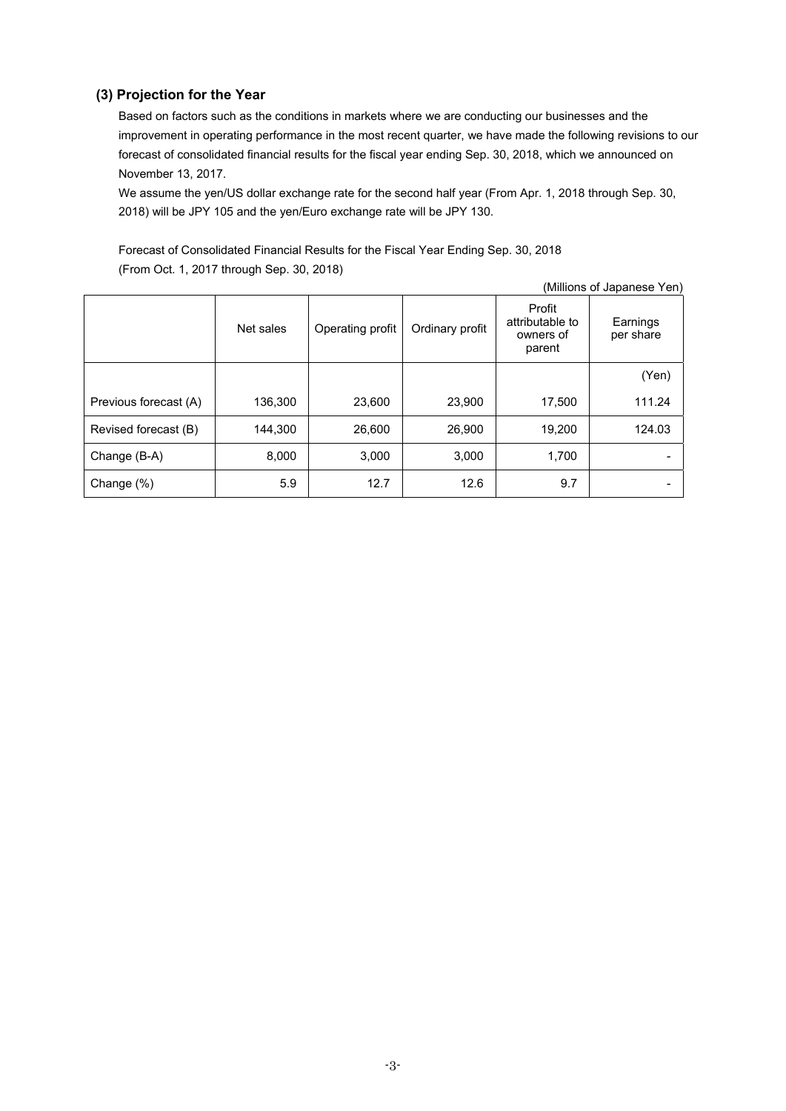## **(3) Projection for the Year**

Based on factors such as the conditions in markets where we are conducting our businesses and the improvement in operating performance in the most recent quarter, we have made the following revisions to our forecast of consolidated financial results for the fiscal year ending Sep. 30, 2018, which we announced on November 13, 2017.

We assume the yen/US dollar exchange rate for the second half year (From Apr. 1, 2018 through Sep. 30, 2018) will be JPY 105 and the yen/Euro exchange rate will be JPY 130.

Forecast of Consolidated Financial Results for the Fiscal Year Ending Sep. 30, 2018 (From Oct. 1, 2017 through Sep. 30, 2018)

| (Millions of Japanese Yen) |           |                  |                 |                                                  |                       |
|----------------------------|-----------|------------------|-----------------|--------------------------------------------------|-----------------------|
|                            | Net sales | Operating profit | Ordinary profit | Profit<br>attributable to<br>owners of<br>parent | Earnings<br>per share |
|                            |           |                  |                 |                                                  | (Yen)                 |
| Previous forecast (A)      | 136,300   | 23,600           | 23,900          | 17,500                                           | 111.24                |
| Revised forecast (B)       | 144,300   | 26,600           | 26,900          | 19,200                                           | 124.03                |
| Change (B-A)               | 8,000     | 3,000            | 3,000           | 1,700                                            |                       |
| Change (%)                 | 5.9       | 12.7             | 12.6            | 9.7                                              |                       |

-3-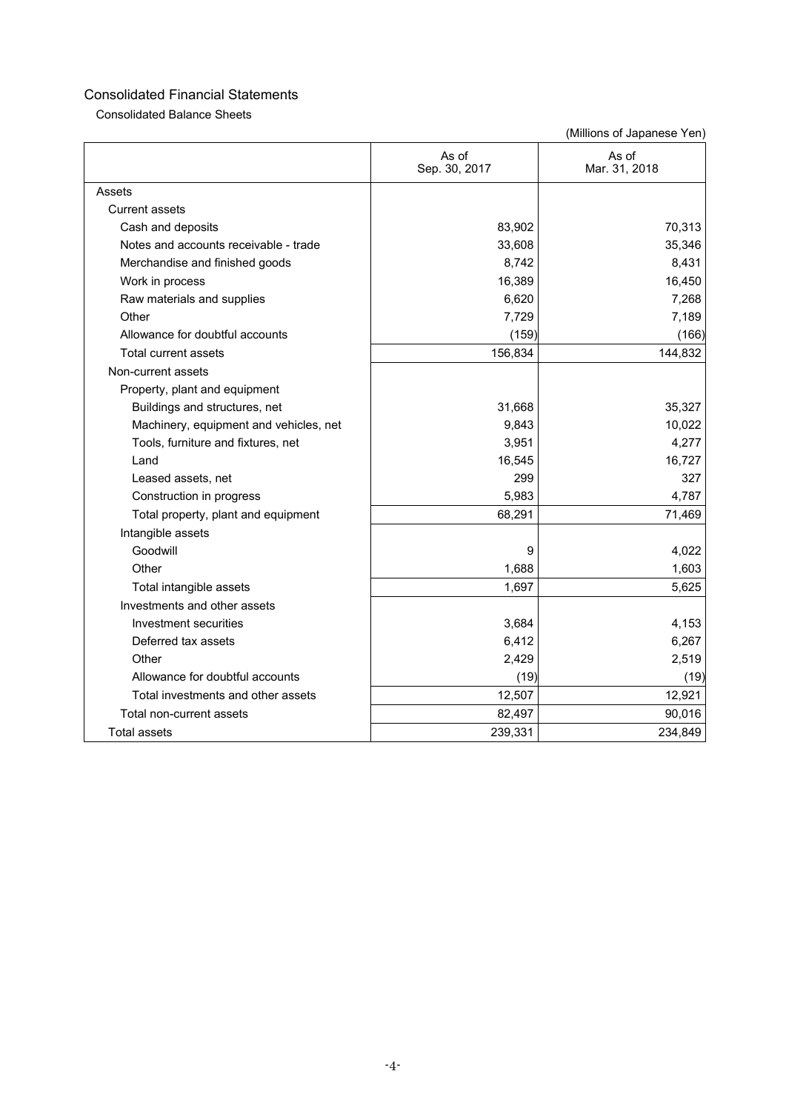Consolidated Balance Sheets

|                                        | As of<br>Sep. 30, 2017 | As of<br>Mar. 31, 2018 |
|----------------------------------------|------------------------|------------------------|
| Assets                                 |                        |                        |
| <b>Current assets</b>                  |                        |                        |
| Cash and deposits                      | 83,902                 | 70,313                 |
| Notes and accounts receivable - trade  | 33,608                 | 35,346                 |
| Merchandise and finished goods         | 8,742                  | 8,431                  |
| Work in process                        | 16,389                 | 16,450                 |
| Raw materials and supplies             | 6,620                  | 7,268                  |
| Other                                  | 7,729                  | 7,189                  |
| Allowance for doubtful accounts        | (159)                  | (166)                  |
| <b>Total current assets</b>            | 156,834                | 144,832                |
| Non-current assets                     |                        |                        |
| Property, plant and equipment          |                        |                        |
| Buildings and structures, net          | 31,668                 | 35,327                 |
| Machinery, equipment and vehicles, net | 9,843                  | 10,022                 |
| Tools, furniture and fixtures, net     | 3,951                  | 4,277                  |
| Land                                   | 16,545                 | 16,727                 |
| Leased assets, net                     | 299                    | 327                    |
| Construction in progress               | 5,983                  | 4,787                  |
| Total property, plant and equipment    | 68,291                 | 71,469                 |
| Intangible assets                      |                        |                        |
| Goodwill                               | 9                      | 4,022                  |
| Other                                  | 1,688                  | 1,603                  |
| Total intangible assets                | 1,697                  | 5,625                  |
| Investments and other assets           |                        |                        |
| Investment securities                  | 3,684                  | 4,153                  |
| Deferred tax assets                    | 6,412                  | 6,267                  |
| Other                                  | 2,429                  | 2,519                  |
| Allowance for doubtful accounts        | (19)                   | (19)                   |
| Total investments and other assets     | 12,507                 | 12,921                 |
| Total non-current assets               | 82,497                 | 90,016                 |
| <b>Total assets</b>                    | 239,331                | 234,849                |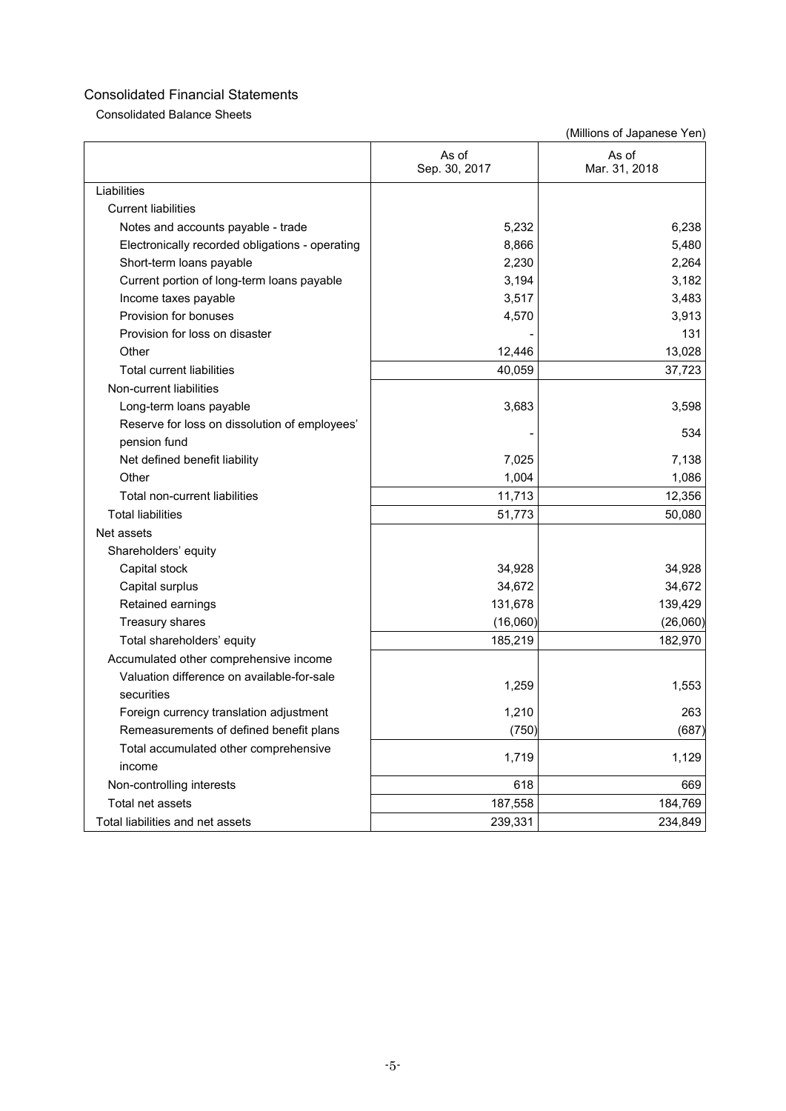Consolidated Balance Sheets

|                                                 | As of<br>Sep. 30, 2017 | As of<br>Mar. 31, 2018 |  |
|-------------------------------------------------|------------------------|------------------------|--|
| Liabilities                                     |                        |                        |  |
| <b>Current liabilities</b>                      |                        |                        |  |
| Notes and accounts payable - trade              | 5,232                  | 6,238                  |  |
| Electronically recorded obligations - operating | 8,866                  | 5,480                  |  |
| Short-term loans payable                        | 2,230                  | 2,264                  |  |
| Current portion of long-term loans payable      | 3,194                  | 3,182                  |  |
| Income taxes payable                            | 3,517                  | 3,483                  |  |
| Provision for bonuses                           | 4,570                  | 3,913                  |  |
| Provision for loss on disaster                  |                        | 131                    |  |
| Other                                           | 12,446                 | 13,028                 |  |
| <b>Total current liabilities</b>                | 40,059                 | 37,723                 |  |
| Non-current liabilities                         |                        |                        |  |
| Long-term loans payable                         | 3,683                  | 3,598                  |  |
| Reserve for loss on dissolution of employees'   |                        | 534                    |  |
| pension fund                                    |                        |                        |  |
| Net defined benefit liability                   | 7,025                  | 7,138                  |  |
| Other                                           | 1,004                  | 1,086                  |  |
| Total non-current liabilities                   | 11,713                 | 12,356                 |  |
| <b>Total liabilities</b>                        | 51,773                 | 50,080                 |  |
| Net assets                                      |                        |                        |  |
| Shareholders' equity                            |                        |                        |  |
| Capital stock                                   | 34,928                 | 34,928                 |  |
| Capital surplus                                 | 34,672                 | 34,672                 |  |
| Retained earnings                               | 131,678                | 139,429                |  |
| Treasury shares                                 | (16,060)               | (26,060)               |  |
| Total shareholders' equity                      | 185,219                | 182,970                |  |
| Accumulated other comprehensive income          |                        |                        |  |
| Valuation difference on available-for-sale      |                        |                        |  |
| securities                                      | 1,259                  | 1,553                  |  |
| Foreign currency translation adjustment         | 1,210                  | 263                    |  |
| Remeasurements of defined benefit plans         | (750)                  | (687)                  |  |
| Total accumulated other comprehensive           |                        | 1,129                  |  |
| income                                          | 1,719                  |                        |  |
| Non-controlling interests                       | 618                    | 669                    |  |
| Total net assets                                | 187,558                | 184,769                |  |
| Total liabilities and net assets                | 239,331                | 234,849                |  |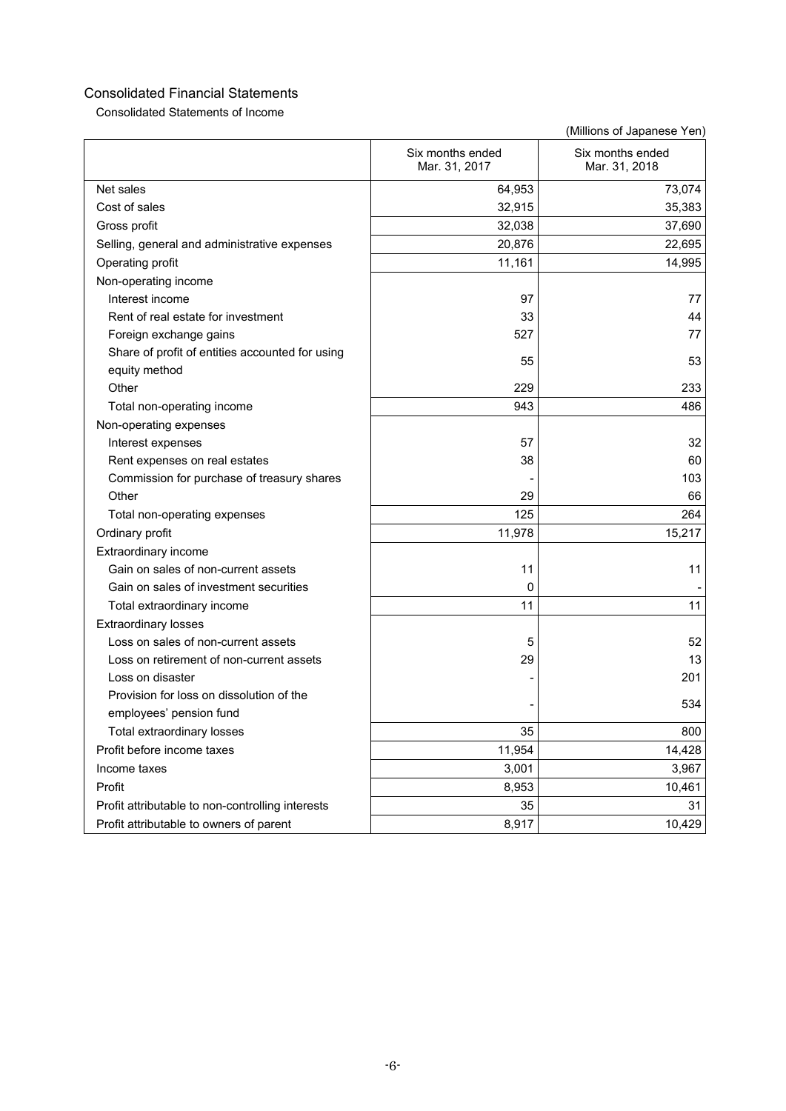Consolidated Statements of Income

|                                                  | Six months ended<br>Mar. 31, 2017 | Six months ended<br>Mar. 31, 2018 |
|--------------------------------------------------|-----------------------------------|-----------------------------------|
| Net sales                                        | 64,953                            | 73,074                            |
| Cost of sales                                    | 32,915                            | 35,383                            |
| Gross profit                                     | 32,038                            | 37,690                            |
| Selling, general and administrative expenses     | 20,876                            | 22,695                            |
| Operating profit                                 | 11,161                            | 14,995                            |
| Non-operating income                             |                                   |                                   |
| Interest income                                  | 97                                | 77                                |
| Rent of real estate for investment               | 33                                | 44                                |
| Foreign exchange gains                           | 527                               | 77                                |
| Share of profit of entities accounted for using  | 55                                | 53                                |
| equity method                                    |                                   |                                   |
| Other                                            | 229                               | 233                               |
| Total non-operating income                       | 943                               | 486                               |
| Non-operating expenses                           |                                   |                                   |
| Interest expenses                                | 57                                | 32                                |
| Rent expenses on real estates                    | 38                                | 60                                |
| Commission for purchase of treasury shares       |                                   | 103                               |
| Other                                            | 29                                | 66                                |
| Total non-operating expenses                     | 125                               | 264                               |
| Ordinary profit                                  | 11,978                            | 15,217                            |
| Extraordinary income                             |                                   |                                   |
| Gain on sales of non-current assets              | 11                                | 11                                |
| Gain on sales of investment securities           | 0                                 |                                   |
| Total extraordinary income                       | 11                                | 11                                |
| <b>Extraordinary losses</b>                      |                                   |                                   |
| Loss on sales of non-current assets              | 5                                 | 52                                |
| Loss on retirement of non-current assets         | 29                                | 13                                |
| Loss on disaster                                 |                                   | 201                               |
| Provision for loss on dissolution of the         |                                   | 534                               |
| employees' pension fund                          |                                   |                                   |
| Total extraordinary losses                       | 35                                | 800                               |
| Profit before income taxes                       | 11,954                            | 14,428                            |
| Income taxes                                     | 3,001                             | 3,967                             |
| Profit                                           | 8,953                             | 10,461                            |
| Profit attributable to non-controlling interests | 35                                | 31                                |
| Profit attributable to owners of parent          | 8,917                             | 10,429                            |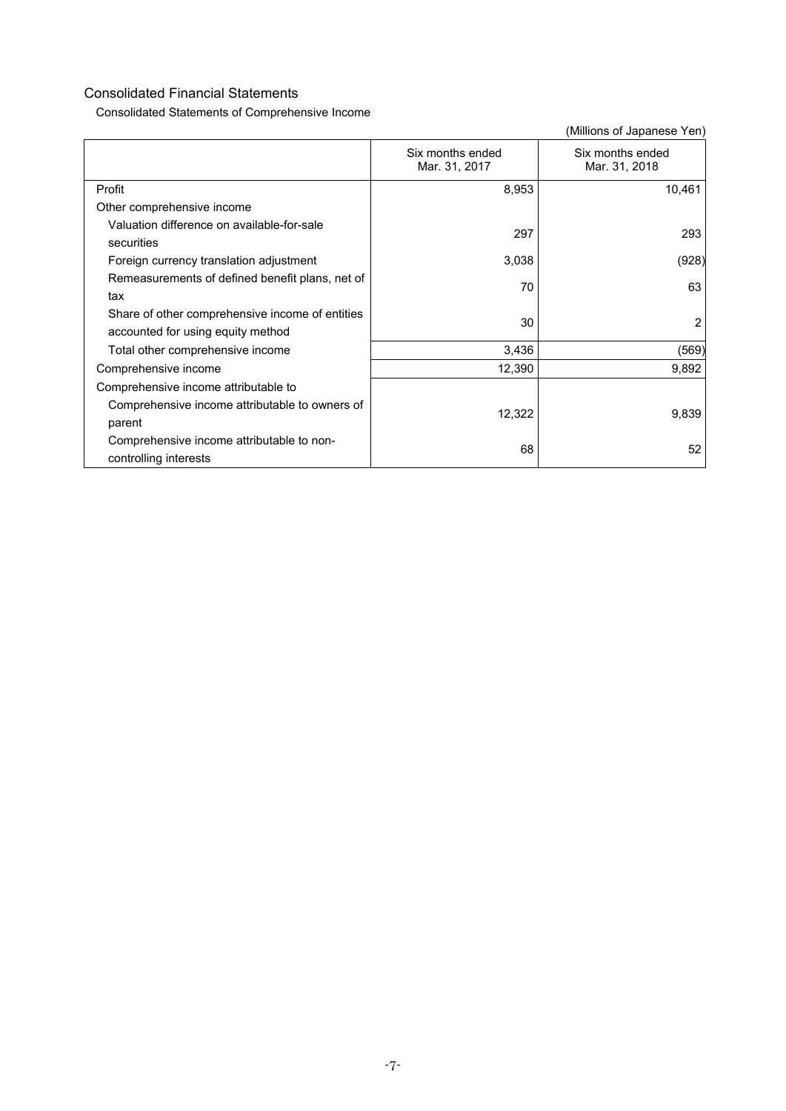Consolidated Statements of Comprehensive Income

|                                                                                      | Six months ended<br>Mar. 31, 2017 | Six months ended<br>Mar. 31, 2018 |
|--------------------------------------------------------------------------------------|-----------------------------------|-----------------------------------|
| Profit                                                                               | 8,953                             | 10,461                            |
| Other comprehensive income                                                           |                                   |                                   |
| Valuation difference on available-for-sale<br>securities                             | 297                               | 293                               |
| Foreign currency translation adjustment                                              | 3,038                             | (928)                             |
| Remeasurements of defined benefit plans, net of<br>tax                               | 70                                | 63                                |
| Share of other comprehensive income of entities<br>accounted for using equity method | 30                                | 2                                 |
| Total other comprehensive income                                                     | 3,436                             | (569)                             |
| Comprehensive income                                                                 | 12,390                            | 9,892                             |
| Comprehensive income attributable to                                                 |                                   |                                   |
| Comprehensive income attributable to owners of<br>parent                             | 12,322                            | 9,839                             |
| Comprehensive income attributable to non-<br>controlling interests                   | 68                                | 52                                |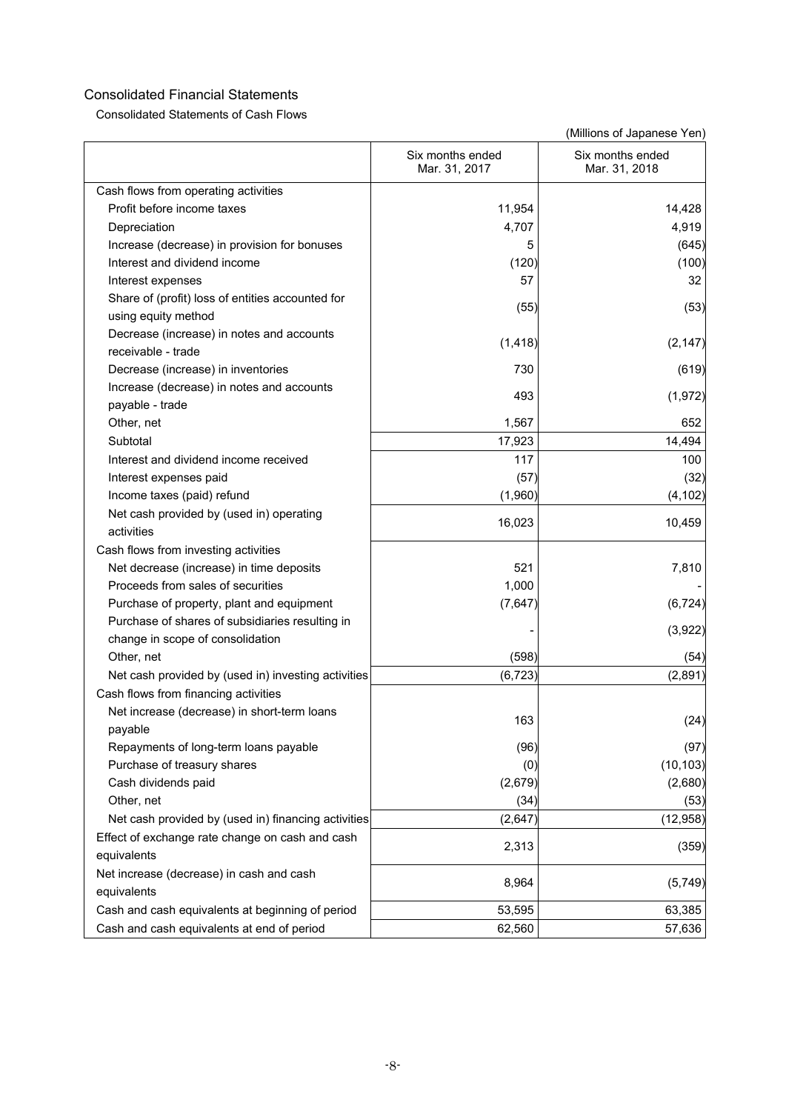Consolidated Statements of Cash Flows

|                                                                               | Six months ended<br>Mar. 31, 2017 | Six months ended<br>Mar. 31, 2018 |
|-------------------------------------------------------------------------------|-----------------------------------|-----------------------------------|
| Cash flows from operating activities                                          |                                   |                                   |
| Profit before income taxes                                                    | 11,954                            | 14,428                            |
| Depreciation                                                                  | 4,707                             | 4,919                             |
| Increase (decrease) in provision for bonuses                                  | 5                                 | (645)                             |
| Interest and dividend income                                                  | (120)                             | (100)                             |
| Interest expenses                                                             | 57                                | 32                                |
| Share of (profit) loss of entities accounted for<br>using equity method       | (55)                              | (53)                              |
| Decrease (increase) in notes and accounts                                     | (1, 418)                          | (2, 147)                          |
| receivable - trade                                                            |                                   |                                   |
| Decrease (increase) in inventories                                            | 730                               | (619)                             |
| Increase (decrease) in notes and accounts<br>payable - trade                  | 493                               | (1, 972)                          |
| Other, net                                                                    | 1,567                             | 652                               |
| Subtotal                                                                      | 17,923                            | 14,494                            |
| Interest and dividend income received                                         | 117                               | 100                               |
| Interest expenses paid                                                        | (57)                              | (32)                              |
| Income taxes (paid) refund                                                    | (1,960)                           | (4, 102)                          |
| Net cash provided by (used in) operating<br>activities                        | 16,023                            | 10,459                            |
|                                                                               |                                   |                                   |
| Cash flows from investing activities                                          | 521                               |                                   |
| Net decrease (increase) in time deposits<br>Proceeds from sales of securities | 1,000                             | 7,810                             |
|                                                                               |                                   |                                   |
| Purchase of property, plant and equipment                                     | (7,647)                           | (6, 724)                          |
| Purchase of shares of subsidiaries resulting in                               |                                   | (3,922)                           |
| change in scope of consolidation<br>Other, net                                | (598)                             |                                   |
|                                                                               | (6, 723)                          | (54)<br>(2,891)                   |
| Net cash provided by (used in) investing activities                           |                                   |                                   |
| Cash flows from financing activities                                          |                                   |                                   |
| Net increase (decrease) in short-term loans<br>pavable                        | 163                               | (24)                              |
| Repayments of long-term loans payable                                         | (96)                              | (97)                              |
| Purchase of treasury shares                                                   | (0)                               | (10, 103)                         |
| Cash dividends paid                                                           | (2,679)                           | (2,680)                           |
| Other, net                                                                    | (34)                              | (53)                              |
| Net cash provided by (used in) financing activities                           | (2,647)                           | (12, 958)                         |
| Effect of exchange rate change on cash and cash                               |                                   |                                   |
| equivalents                                                                   | 2,313                             | (359)                             |
|                                                                               |                                   |                                   |
| Net increase (decrease) in cash and cash<br>equivalents                       | 8,964                             | (5,749)                           |
| Cash and cash equivalents at beginning of period                              | 53,595                            | 63,385                            |
| Cash and cash equivalents at end of period                                    | 62,560                            | 57,636                            |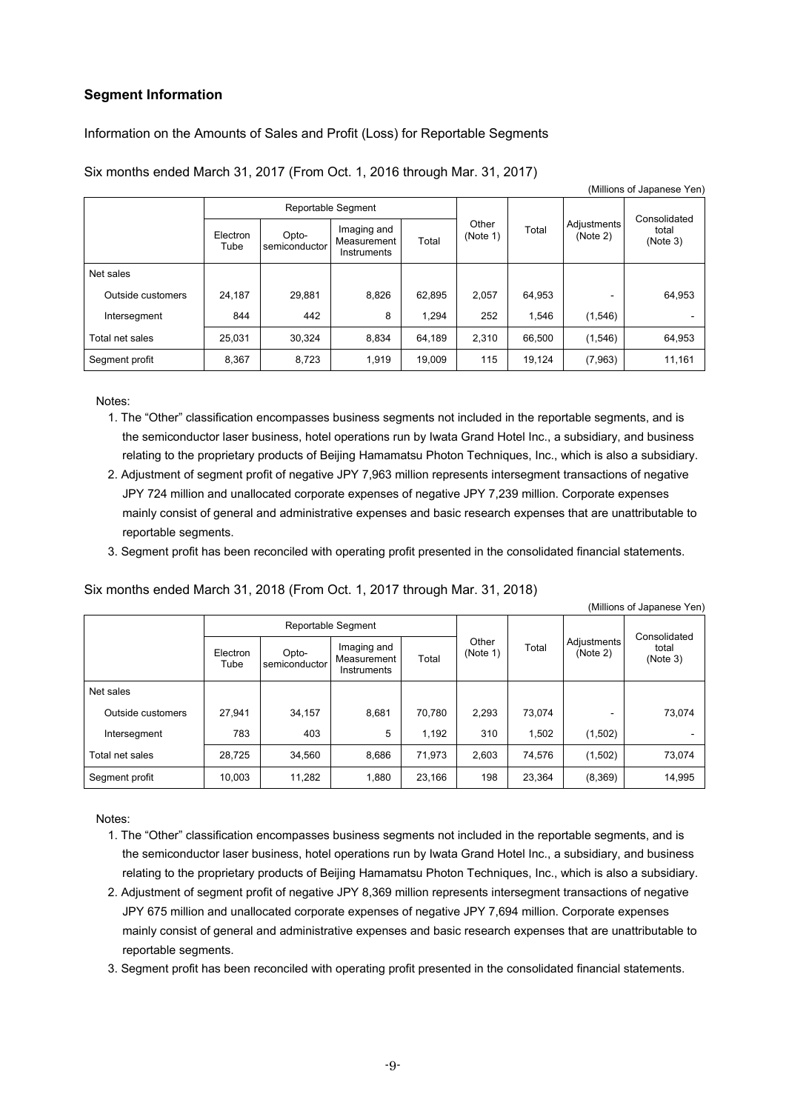## **Segment Information**

Information on the Amounts of Sales and Profit (Loss) for Reportable Segments

| (Millions of Japanese Yen) |                  |                        |                                           |        |                   |        |                         |                   |  |
|----------------------------|------------------|------------------------|-------------------------------------------|--------|-------------------|--------|-------------------------|-------------------|--|
|                            |                  |                        | Reportable Segment                        |        |                   |        |                         | Consolidated      |  |
|                            | Electron<br>Tube | Opto-<br>semiconductor | Imaging and<br>Measurement<br>Instruments | Total  | Other<br>(Note 1) | Total  | Adjustments<br>(Note 2) | total<br>(Note 3) |  |
| Net sales                  |                  |                        |                                           |        |                   |        |                         |                   |  |
| Outside customers          | 24.187           | 29.881                 | 8,826                                     | 62.895 | 2.057             | 64,953 |                         | 64,953            |  |
| Intersegment               | 844              | 442                    | 8                                         | 1.294  | 252               | 1.546  | (1,546)                 |                   |  |
| Total net sales            | 25,031           | 30,324                 | 8,834                                     | 64,189 | 2,310             | 66.500 | (1,546)                 | 64,953            |  |
| Segment profit             | 8,367            | 8,723                  | 1,919                                     | 19.009 | 115               | 19,124 | (7,963)                 | 11,161            |  |

Six months ended March 31, 2017 (From Oct. 1, 2016 through Mar. 31, 2017)

Notes:

- 1. The "Other" classification encompasses business segments not included in the reportable segments, and is the semiconductor laser business, hotel operations run by Iwata Grand Hotel Inc., a subsidiary, and business relating to the proprietary products of Beijing Hamamatsu Photon Techniques, Inc., which is also a subsidiary.
- 2. Adjustment of segment profit of negative JPY 7,963 million represents intersegment transactions of negative JPY 724 million and unallocated corporate expenses of negative JPY 7,239 million. Corporate expenses mainly consist of general and administrative expenses and basic research expenses that are unattributable to reportable segments.
- 3. Segment profit has been reconciled with operating profit presented in the consolidated financial statements.

Six months ended March 31, 2018 (From Oct. 1, 2017 through Mar. 31, 2018)

|                   | Reportable Segment |                        |                                           |        |                   |        |                         | Consolidated      |
|-------------------|--------------------|------------------------|-------------------------------------------|--------|-------------------|--------|-------------------------|-------------------|
|                   | Electron<br>Tube   | Opto-<br>semiconductor | Imaging and<br>Measurement<br>Instruments | Total  | Other<br>(Note 1) | Total  | Adjustments<br>(Note 2) | total<br>(Note 3) |
| Net sales         |                    |                        |                                           |        |                   |        |                         |                   |
| Outside customers | 27.941             | 34,157                 | 8,681                                     | 70.780 | 2,293             | 73.074 |                         | 73,074            |
| Intersegment      | 783                | 403                    | 5                                         | 1,192  | 310               | 1,502  | (1,502)                 |                   |
| Total net sales   | 28,725             | 34,560                 | 8,686                                     | 71,973 | 2,603             | 74,576 | (1,502)                 | 73,074            |
| Segment profit    | 10,003             | 11,282                 | 1,880                                     | 23,166 | 198               | 23,364 | (8,369)                 | 14,995            |

(Millions of Japanese Yen)

Notes:

- 1. The "Other" classification encompasses business segments not included in the reportable segments, and is the semiconductor laser business, hotel operations run by Iwata Grand Hotel Inc., a subsidiary, and business relating to the proprietary products of Beijing Hamamatsu Photon Techniques, Inc., which is also a subsidiary.
- 2. Adjustment of segment profit of negative JPY 8,369 million represents intersegment transactions of negative JPY 675 million and unallocated corporate expenses of negative JPY 7,694 million. Corporate expenses mainly consist of general and administrative expenses and basic research expenses that are unattributable to reportable segments.

3. Segment profit has been reconciled with operating profit presented in the consolidated financial statements.